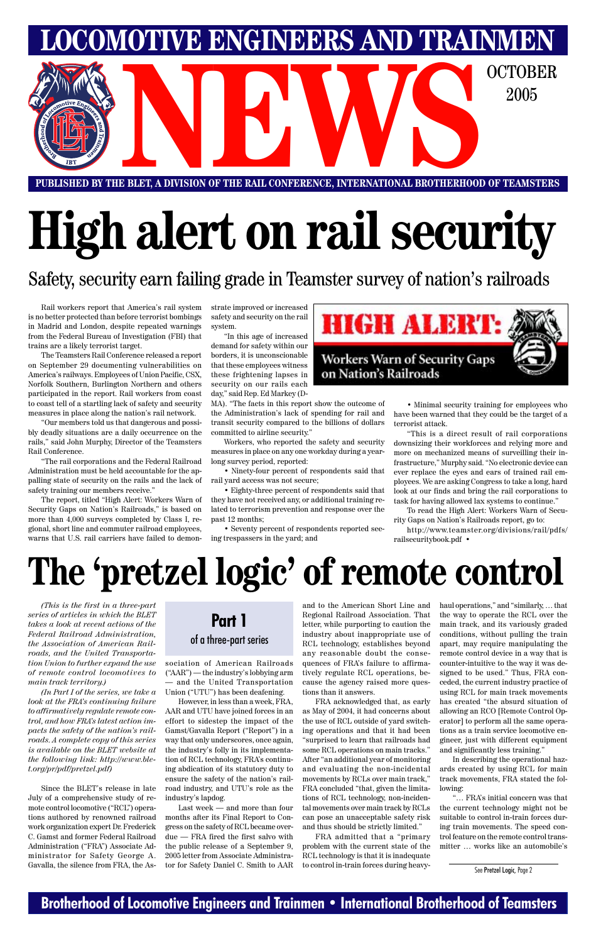### **Brotherhood of Locomotive Engineers and Trainmen • International Brotherhood of Teamsters**

# **High alert on rail security**

**PUBLISHED BY THE BLET, A DIVISION OF THE RAIL CONFERENCE, INTERNATIONAL BROTHERHOOD OF TEAMSTERS** E BLET, A DIVISION OF THE RAIL CONFERENCE, INTERNATIONAL BROTHERHOOD OF TEAMSTERS

Safety, security earn failing grade in Teamster survey of nation's railroads

**LOMOTIVE ENGINEERS AND TRAINMEN** 

2005

Rail workers report that America's rail system is no better protected than before terrorist bombings in Madrid and London, despite repeated warnings from the Federal Bureau of Investigation (FBI) that trains are a likely terrorist target.

The Teamsters Rail Conference released a report on September 29 documenting vulnerabilities on America's railways. Employees of Union Pacific, CSX, Norfolk Southern, Burlington Northern and others participated in the report. Rail workers from coast to coast tell of a startling lack of safety and security measures in place along the nation's rail network.

"Our members told us that dangerous and possibly deadly situations are a daily occurrence on the rails," said John Murphy, Director of the Teamsters Rail Conference.

"The rail corporations and the Federal Railroad Administration must be held accountable for the appalling state of security on the rails and the lack of safety training our members receive."

The report, titled "High Alert: Workers Warn of Security Gaps on Nation's Railroads," is based on more than 4,000 surveys completed by Class I, regional, short line and commuter railroad employees, warns that U.S. rail carriers have failed to demon-

strate improved or increased safety and security on the rail system.

"In this age of increased demand for safety within our borders, it is unconscionable that these employees witness these frightening lapses in security on our rails each day," said Rep. Ed Markey (D-

MA). "The facts in this report show the outcome of the Administration's lack of spending for rail and transit security compared to the billions of dollars committed to airline security."

Workers, who reported the safety and security measures in place on any one workday during a yearlong survey period, reported:

• Ninety-four percent of respondents said that rail yard access was not secure;

• Eighty-three percent of respondents said that they have not received any, or additional training related to terrorism prevention and response over the past 12 months;

• Seventy percent of respondents reported seeing trespassers in the yard; and



• Minimal security training for employees who have been warned that they could be the target of a terrorist attack.

"This is a direct result of rail corporations downsizing their workforces and relying more and more on mechanized means of surveilling their infrastructure," Murphy said. "No electronic device can ever replace the eyes and ears of trained rail employees. We are asking Congress to take a long, hard look at our finds and bring the rail corporations to task for having allowed lax systems to continue."

To read the High Alert: Workers Warn of Security Gaps on Nation's Railroads report, go to:

http://www.teamster.org/divisions/rail/pdfs/ railsecuritybook.pdf •

## **The 'pretzel logic' of remote control**

*(This is the first in a three-part series of articles in which the BLET takes a look at recent actions of the Federal Railroad Administration, the Association of American Railroads, and the United Transportation Union to further expand the use of remote control locomotives to main track territory.)*

*(In Part I of the series, we take a*

*look at the FRA's continuing failure to affirmatively regulate remote control, and how FRA's latest action impacts the safety of the nation's railroads. A complete copy of this series is available on the BLET website at the following link: http://www.blet.org/pr/pdf/pretzel.pdf)*

Since the BLET's release in late July of a comprehensive study of remote control locomotive ("RCL") operations authored by renowned railroad work organization expert Dr. Frederick C. Gamst and former Federal Railroad Administration ("FRA") Associate Administrator for Safety George A. Gavalla, the silence from FRA, the As-

sociation of American Railroads ("AAR") — the industry's lobbying arm — and the United Transportation Union ("UTU") has been deafening.

However, in less than a week, FRA, AAR and UTU have joined forces in an effort to sidestep the impact of the Gamst/Gavalla Report ("Report") in a way that only underscores, once again, the industry's folly in its implementation of RCL technology, FRA's continuing abdication of its statutory duty to ensure the safety of the nation's railroad industry, and UTU's role as the industry's lapdog.

Last week — and more than four months after its Final Report to Congress on the safety of RCL became overdue — FRA fired the first salvo with the public release of a September 9, 2005 letter from Associate Administrator for Safety Daniel C. Smith to AAR

and to the American Short Line and Regional Railroad Association. That letter, while purporting to caution the industry about inappropriate use of RCL technology, establishes beyond any reasonable doubt the consequences of FRA's failure to affirmatively regulate RCL operations, because the agency raised more ques-

tions than it answers.

FRA acknowledged that, as early as May of 2004, it had concerns about the use of RCL outside of yard switching operations and that it had been "surprised to learn that railroads had some RCL operations on main tracks." After "an additional year of monitoring and evaluating the non-incidental movements by RCLs over main track," FRA concluded "that, given the limitations of RCL technology, non-incidental movements over main track by RCLs can pose an unacceptable safety risk and thus should be strictly limited."

FRA admitted that a "primary problem with the current state of the RCL technology is that it is inadequate to control in-train forces during heavyhaul operations," and "similarly, … that the way to operate the RCL over the main track, and its variously graded conditions, without pulling the train apart, may require manipulating the remote control device in a way that is counter-intuitive to the way it was designed to be used." Thus, FRA conceded, the current industry practice of using RCL for main track movements has created "the absurd situation of allowing an RCO [Remote Control Operator] to perform all the same operations as a train service locomotive engineer, just with different equipment and significantly less training." In describing the operational hazards created by using RCL for main track movements, FRA stated the following:

"… FRA's initial concern was that the current technology might not be suitable to control in-train forces during train movements. The speed control feature on the remote control transmitter … works like an automobile's

See Pretzel Logic, Page 2

### **Part 1** of a three-part series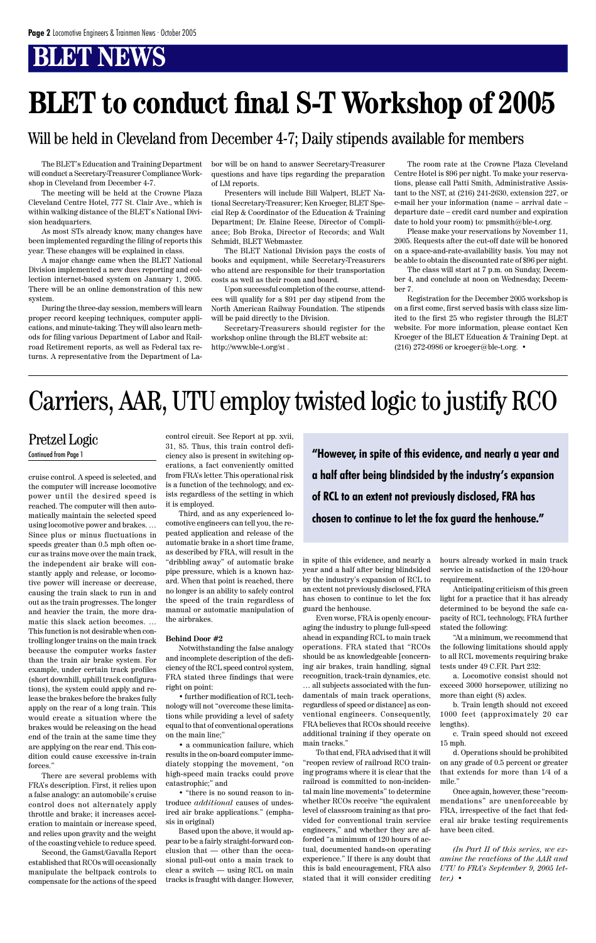The BLET's Education and Training Department will conduct a Secretary-Treasurer Compliance Workshop in Cleveland from December 4-7.

The meeting will be held at the Crowne Plaza Cleveland Centre Hotel, 777 St. Clair Ave., which is within walking distance of the BLET's National Division headquarters.

As most STs already know, many changes have been implemented regarding the filing of reports this year. These changes will be explained in class.

A major change came when the BLET National Division implemented a new dues reporting and collection internet-based system on January 1, 2005. There will be an online demonstration of this new system.

During the three-day session, members will learn proper record keeping techniques, computer applications, and minute-taking. They will also learn methods for filing various Department of Labor and Railroad Retirement reports, as well as Federal tax returns. A representative from the Department of Labor will be on hand to answer Secretary-Treasurer questions and have tips regarding the preparation of LM reports.

Presenters will include Bill Walpert, BLET National Secretary-Treasurer; Ken Kroeger, BLET Special Rep & Coordinator of the Education & Training Department; Dr. Elaine Reese, Director of Compliance; Bob Broka, Director of Records; and Walt Schmidt, BLET Webmaster.

The BLET National Division pays the costs of books and equipment, while Secretary-Treasurers who attend are responsible for their transportation costs as well as their room and board.

Upon successful completion of the course, attendees will qualify for a \$91 per day stipend from the North American Railway Foundation. The stipends will be paid directly to the Division.

Secretary-Treasurers should register for the workshop online through the BLET website at: http://www.ble-t.org/st .

The room rate at the Crowne Plaza Cleveland Centre Hotel is \$96 per night. To make your reservations, please call Patti Smith, Administrative Assistant to the NST, at (216) 241-2630, extension 227, or e-mail her your information (name – arrival date – departure date – credit card number and expiration date to hold your room) to: pmsmith@ble-t.org.

Please make your reservations by November 11, 2005. Requests after the cut-off date will be honored on a space-and-rate-availability basis. You may not be able to obtain the discounted rate of \$96 per night.

The class will start at 7 p.m. on Sunday, December 4, and conclude at noon on Wednesday, December 7.

Registration for the December 2005 workshop is on a first come, first served basis with class size limited to the first 25 who register through the BLET website. For more information, please contact Ken Kroeger of the BLET Education & Training Dept. at (216) 272-0986 or kroeger@ble-t.org. •

## **BLET to conduct final S-T Workshop of 2005**

Continued from Page 1 **1992 Continued from Page 1 Thus, thus to the Stripe of this evidence, and nearly a year and a half after being blindsided by the industry's expansion of RCL to an extent not previously disclosed, FRA has chosen to continue to let the fox guard the henhouse."**

cruise control. A speed is selected, and the computer will increase locomotive power until the desired speed is reached. The computer will then automatically maintain the selected speed using locomotive power and brakes. … Since plus or minus fluctuations in speeds greater than 0.5 mph often occur as trains move over the main track, the independent air brake will constantly apply and release, or locomotive power will increase or decrease, causing the train slack to run in and out as the train progresses. The longer and heavier the train, the more dramatic this slack action becomes. … This function is not desirable when controlling longer trains on the main track because the computer works faster than the train air brake system. For example, under certain track profiles (short downhill, uphill track configurations), the system could apply and release the brakes before the brakes fully apply on the rear of a long train. This would create a situation where the brakes would be releasing on the head end of the train at the same time they are applying on the rear end. This condition could cause excessive in-train forces." There are several problems with FRA's description. First, it relies upon a false analogy: an automobile's cruise control does not alternately apply throttle and brake; it increases acceleration to maintain or increase speed, and relies upon gravity and the weight of the coasting vehicle to reduce speed. Second, the Gamst/Gavalla Report established that RCOs will occasionally manipulate the beltpack controls to compensate for the actions of the speed

control circuit. See Report at pp. xvii, 31, 85. Thus, this train control deficiency also is present in switching operations, a fact conveniently omitted from FRA's letter. This operational risk is a function of the technology, and exists regardless of the setting in which it is employed.

Third, and as any experienced locomotive engineers can tell you, the repeated application and release of the automatic brake in a short time frame, as described by FRA, will result in the "dribbling away" of automatic brake pipe pressure, which is a known hazard. When that point is reached, there no longer is an ability to safely control the speed of the train regardless of manual or automatic manipulation of the airbrakes.

#### **Behind Door #2**

Notwithstanding the false analogy and incomplete description of the deficiency of the RCL speed control system, FRA stated three findings that were right on point:

• further modification of RCL technology will not "overcome these limitations while providing a level of safety equal to that of conventional operations on the main line;"

• a communication failure, which results in the on-board computer immediately stopping the movement, "on high-speed main tracks could prove catastrophic;" and

• "there is no sound reason to introduce *additional* causes of undesired air brake applications." (emphasis in original)

Based upon the above, it would appear to be a fairly straight-forward conclusion that — other than the occasional pull-out onto a main track to clear a switch — using RCL on main tracks is fraught with danger. However,

## Carriers, AAR, UTU employ twisted logic to justify RCO

#### Pretzel Logic

in spite of this evidence, and nearly a year and a half after being blindsided by the industry's expansion of RCL to an extent not previously disclosed, FRA has chosen to continue to let the fox guard the henhouse.

Even worse, FRA is openly encouraging the industry to plunge full-speed ahead in expanding RCL to main track operations. FRA stated that "RCOs should be as knowledgeable [concerning air brakes, train handling, signal recognition, track-train dynamics, etc.

… all subjects associated with the fundamentals of main track operations, regardless of speed or distance] as conventional engineers. Consequently, FRA believes that RCOs should receive additional training if they operate on main tracks." To that end, FRA advised that it will "reopen review of railroad RCO training programs where it is clear that the railroad is committed to non-incidental main line movements" to determine whether RCOs receive "the equivalent level of classroom training as that provided for conventional train service engineers," and whether they are afforded "a minimum of 120 hours of actual, documented hands-on operating experience." If there is any doubt that this is bald encouragement, FRA also stated that it will consider crediting hours already worked in main track service in satisfaction of the 120-hour requirement.

Anticipating criticism of this green light for a practice that it has already determined to be beyond the safe capacity of RCL technology, FRA further stated the following:

"At a minimum, we recommend that the following limitations should apply to all RCL movements requiring brake tests under 49 C.F.R. Part 232:

a. Locomotive consist should not exceed 3000 horsepower, utilizing no more than eight (8) axles.

b. Train length should not exceed 1000 feet (approximately 20 car lengths).

c. Train speed should not exceed 15 mph.

d. Operations should be prohibited on any grade of 0.5 percent or greater that extends for more than 1⁄4 of a mile."

Once again, however, these "recommendations" are unenforceable by FRA, irrespective of the fact that federal air brake testing requirements have been cited.

*(In Part II of this series, we examine the reactions of the AAR and UTU to FRA's September 9, 2005 letter.)* •

### Will be held in Cleveland from December 4-7; Daily stipends available for members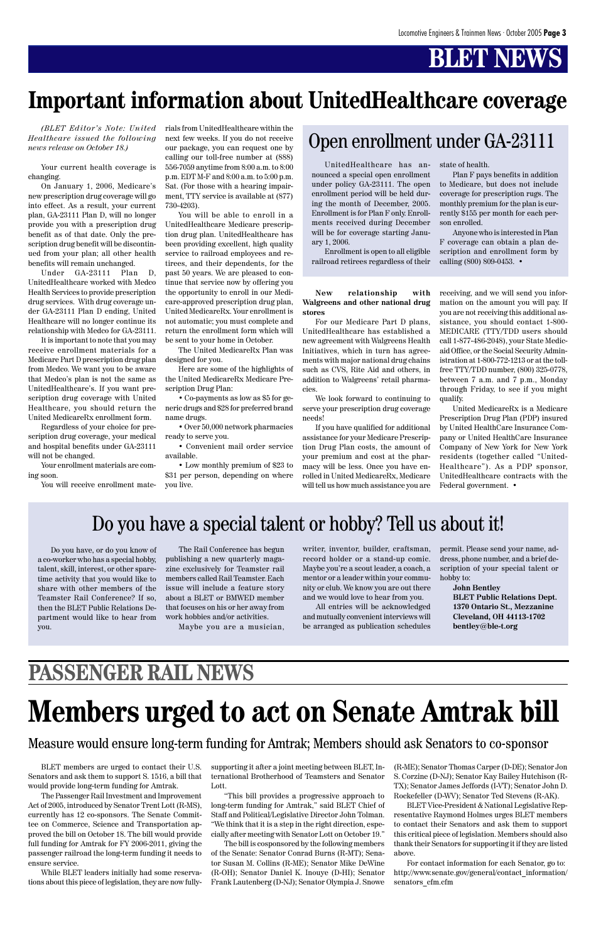*(BLET Editor's Note: United Healthcare issued the following news release on October 18.)*

Your current health coverage is changing.

On January 1, 2006, Medicare's new prescription drug coverage will go into effect. As a result, your current plan, GA-23111 Plan D, will no longer provide you with a prescription drug benefit as of that date. Only the prescription drug benefit will be discontinued from your plan; all other health benefits will remain unchanged.

Under GA-23111 Plan D, UnitedHealthcare worked with Medco Health Services to provide prescription drug services. With drug coverage under GA-23111 Plan D ending, United Healthcare will no longer continue its relationship with Medco for GA-23111.

It is important to note that you may receive enrollment materials for a Medicare Part D prescription drug plan from Medco. We want you to be aware that Medco's plan is not the same as UnitedHealthcare's. If you want prescription drug coverage with United Healthcare, you should return the United MedicareRx enrollment form.

Regardless of your choice for prescription drug coverage, your medical and hospital benefits under GA-23111 will not be changed.

Your enrollment materials are coming soon.

You will receive enrollment mate-

rials from UnitedHealthcare within the next few weeks. If you do not receive our package, you can request one by calling our toll-free number at (888) 556-7059 anytime from 8:00 a.m. to 8:00 p.m. EDT M-F and 8:00 a.m. to 5:00 p.m. Sat. (For those with a hearing impairment, TTY service is available at (877) 730-4203).

You will be able to enroll in a UnitedHealthcare Medicare prescription drug plan. UnitedHealthcare has been providing excellent, high quality service to railroad employees and retirees, and their dependents, for the past 50 years. We are pleased to continue that service now by offering you the opportunity to enroll in our Medicare-approved prescription drug plan, United MedicareRx. Your enrollment is not automatic; you must complete and return the enrollment form which will be sent to your home in October.

The United MedicareRx Plan was designed for you.

Here are some of the highlights of the United MedicareRx Medicare Prescription Drug Plan:

• Co-payments as low as \$5 for generic drugs and \$28 for preferred brand name drugs.

• Over 50,000 network pharmacies ready to serve you.

• Convenient mail order service available.

• Low monthly premium of \$23 to \$31 per person, depending on where you live.

#### **New relationship with Walgreens and other national drug stores**

For our Medicare Part D plans, UnitedHealthcare has established a new agreement with Walgreens Health Initiatives, which in turn has agreements with major national drug chains such as CVS, Rite Aid and others, in addition to Walgreens' retail pharmacies.

We look forward to continuing to serve your prescription drug coverage needs!

If you have qualified for additional assistance for your Medicare Prescription Drug Plan costs, the amount of your premium and cost at the pharmacy will be less. Once you have enrolled in United MedicareRx, Medicare will tell us how much assistance you are

receiving, and we will send you information on the amount you will pay. If you are not receiving this additional assistance, you should contact 1-800- MEDICARE (TTY/TDD users should call 1-877-486-2048), your State Medicaid Office, or the Social Security Administration at 1-800-772-1213 or at the tollfree TTY/TDD number, (800) 325-0778, between 7 a.m. and 7 p.m., Monday through Friday, to see if you might qualify.

United MedicareRx is a Medicare Prescription Drug Plan (PDP) insured by United HealthCare Insurance Company or United HealthCare Insurance Company of New York for New York residents (together called "United-Healthcare"). As a PDP sponsor, UnitedHealthcare contracts with the Federal government. •

For contact information for each Senator, go to: http://www.senate.gov/general/contact\_information/ senators\_cfm.cfm

## **Important information about UnitedHealthcare coverage**

UnitedHealthcare has announced a special open enrollment under policy GA-23111. The open enrollment period will be held during the month of December, 2005. Enrollment is for Plan F only. Enrollments received during December will be for coverage starting January 1, 2006.

Enrollment is open to all eligible railroad retirees regardless of their

### Open enrollment under GA-23111

state of health.

Plan F pays benefits in addition to Medicare, but does not include coverage for prescription rugs. The monthly premium for the plan is currently \$155 per month for each person enrolled.

Anyone who is interested in Plan F coverage can obtain a plan description and enrollment form by calling (800) 809-0453. •

Do you have, or do you know of a co-worker who has a special hobby, talent, skill, interest, or other sparetime activity that you would like to share with other members of the Teamster Rail Conference? If so, then the BLET Public Relations Department would like to hear from you.

The Rail Conference has begun publishing a new quarterly magazine exclusively for Teamster rail members called Rail Teamster. Each issue will include a feature story about a BLET or BMWED member that focuses on his or her away from work hobbies and/or activities.

Maybe you are a musician,

### Do you have a special talent or hobby? Tell us about it!

writer, inventor, builder, craftsman, record holder or a stand-up comic. Maybe you're a scout leader, a coach, a mentor or a leader within your community or club. We know you are out there and we would love to hear from you.

All entries will be acknowledged and mutually convenient interviews will be arranged as publication schedules permit. Please send your name, address, phone number, and a brief description of your special talent or hobby to:

> **John Bentley BLET Public Relations Dept. 1370 Ontario St., Mezzanine Cleveland, OH 44113-1702 bentley@ble-t.org**

### **PASSENGER RAIL NEWS**

BLET members are urged to contact their U.S. Senators and ask them to support S. 1516, a bill that would provide long-term funding for Amtrak.

The Passenger Rail Investment and Improvement Act of 2005, introduced by Senator Trent Lott (R-MS), currently has 12 co-sponsors. The Senate Committee on Commerce, Science and Transportation approved the bill on October 18. The bill would provide full funding for Amtrak for FY 2006-2011, giving the passenger railroad the long-term funding it needs to ensure service.

While BLET leaders initially had some reservations about this piece of legislation, they are now fullysupporting it after a joint meeting between BLET, International Brotherhood of Teamsters and Senator Lott.

"This bill provides a progressive approach to long-term funding for Amtrak," said BLET Chief of Staff and Political/Legislative Director John Tolman. "We think that it is a step in the right direction, especially after meeting with Senator Lott on October 19."

The bill is cosponsored by the following members of the Senate: Senator Conrad Burns (R-MT); Senator Susan M. Collins (R-ME); Senator Mike DeWine (R-OH); Senator Daniel K. Inouye (D-HI); Senator Frank Lautenberg (D-NJ); Senator Olympia J. Snowe

(R-ME); Senator Thomas Carper (D-DE); Senator Jon S. Corzine (D-NJ); Senator Kay Bailey Hutchison (R-TX); Senator James Jeffords (I-VT); Senator John D. Rockefeller (D-WV); Senator Ted Stevens (R-AK).

BLET Vice-President & National Legislative Representative Raymond Holmes urges BLET members to contact their Senators and ask them to support this critical piece of legislation. Members should also thank their Senators for supporting it if they are listed above.

## **Members urged to act on Senate Amtrak bill**

#### Measure would ensure long-term funding for Amtrak; Members should ask Senators to co-sponsor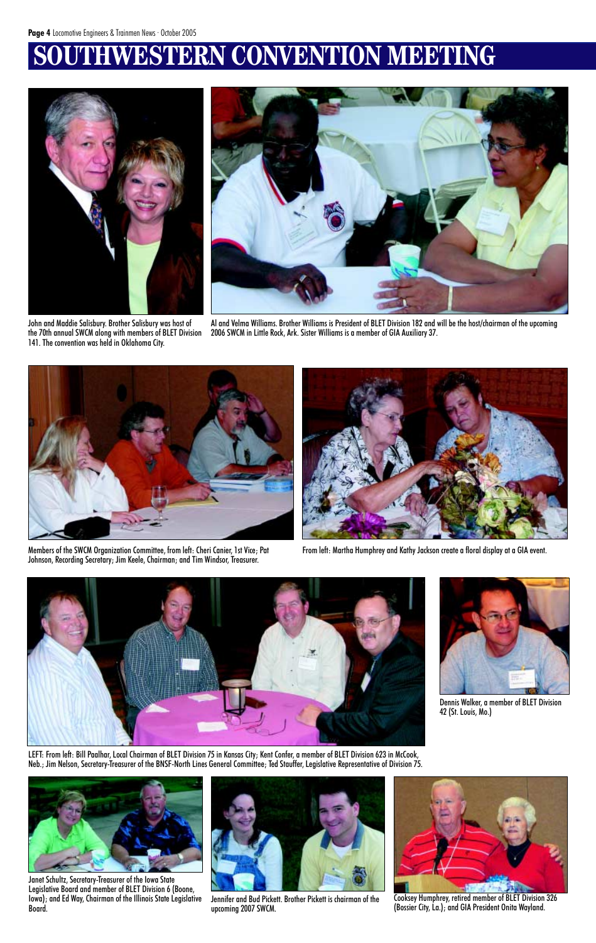## **WESTERN CONVENTION MEETING**



John and Maddie Salisbury. Brother Salisbury was host of the 70th annual SWCM along with members of BLET Division 141. The convention was held in Oklahoma City.



Al and Velma Williams. Brother Williams is President of BLET Division 182 and will be the host/chairman of the upcoming 2006 SWCM in Little Rock, Ark. Sister Williams is a member of GIA Auxiliary 37.



Members of the SWCM Organization Committee, from left: Cheri Canier, 1st Vice; Pat Johnson, Recording Secretary; Jim Keele, Chairman; and Tim Windsor, Treasurer.



From left: Martha Humphrey and Kathy Jackson create a floral display at a GIA event.



Janet Schultz, Secretary-Treasurer of the Iowa State Legislative Board and member of BLET Division 6 (Boone, Iowa); and Ed Way, Chairman of the Illinois State Legislative Board.

Jennifer and Bud Pickett. Brother Pickett is chairman of the upcoming 2007 SWCM.

Cooksey Humphrey, retired member of BLET Division 326 (Bossier City, La.); and GIA President Onita Wayland.

LEFT: From left: Bill Paalhar, Local Chairman of BLET Division 75 in Kansas City; Kent Confer, a member of BLET Division 623 in McCook, Neb.; Jim Nelson, Secretary-Treasurer of the BNSF-North Lines General Committee; Ted Stauffer, Legislative Representative of Division 75.

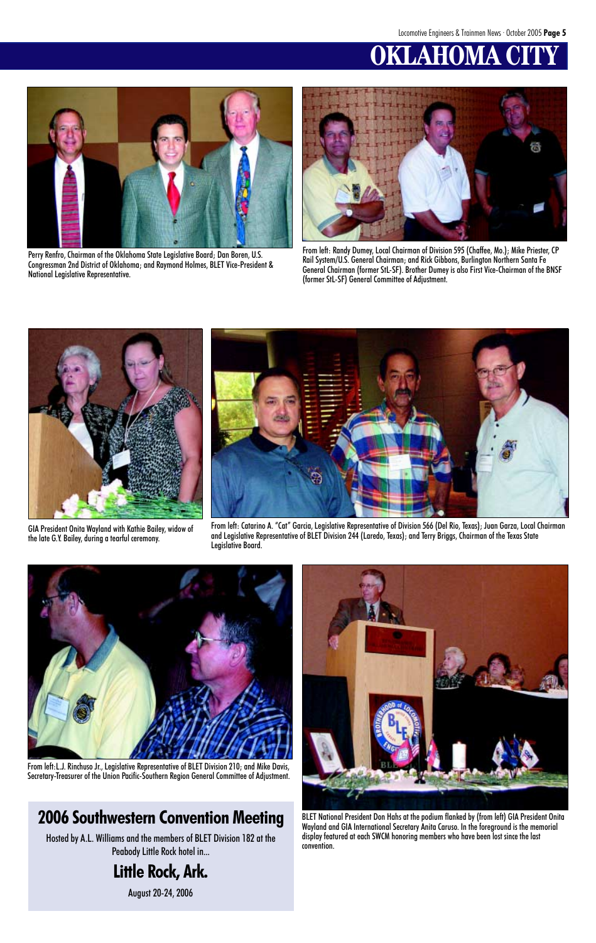## **KLAHOMA CI**



Perry Renfro, Chairman of the Oklahoma State Legislative Board; Dan Boren, U.S. Congressman 2nd District of Oklahoma; and Raymond Holmes, BLET Vice-President & National Legislative Representative.



From left: Randy Dumey, Local Chairman of Division 595 (Chaffee, Mo.); Mike Priester, CP Rail System/U.S. General Chairman; and Rick Gibbons, Burlington Northern Santa Fe General Chairman (former StL-SF). Brother Dumey is also First Vice-Chairman of the BNSF (former StL-SF) General Committee of Adjustment.

From left: Catarino A. "Cat" Garcia, Legislative Representative of Division 566 (Del Rio, Texas); Juan Garza, Local Chairman and Legislative Representative of BLET Division 244 (Laredo, Texas); and Terry Briggs, Chairman of the Texas State Legislative Board.







GIA President Onita Wayland with Kathie Bailey, widow of the late G.Y. Bailey, during a tearful ceremony.

BLET National President Don Hahs at the podium flanked by (from left) GIA President Onita Wayland and GIA International Secretary Anita Caruso. In the foreground is the memorial display featured at each SWCM honoring members who have been lost since the last convention.

From left:L.J. Rinchuso Jr., Legislative Representative of BLET Division 210; and Mike Davis, Secretary-Treasurer of the Union Pacific-Southern Region General Committee of Adjustment.

### **2006 Southwestern Convention Meeting**

Hosted by A.L. Williams and the members of BLET Division 182 at the Peabody Little Rock hotel in...

### **Little Rock, Ark.**

August 20-24, 2006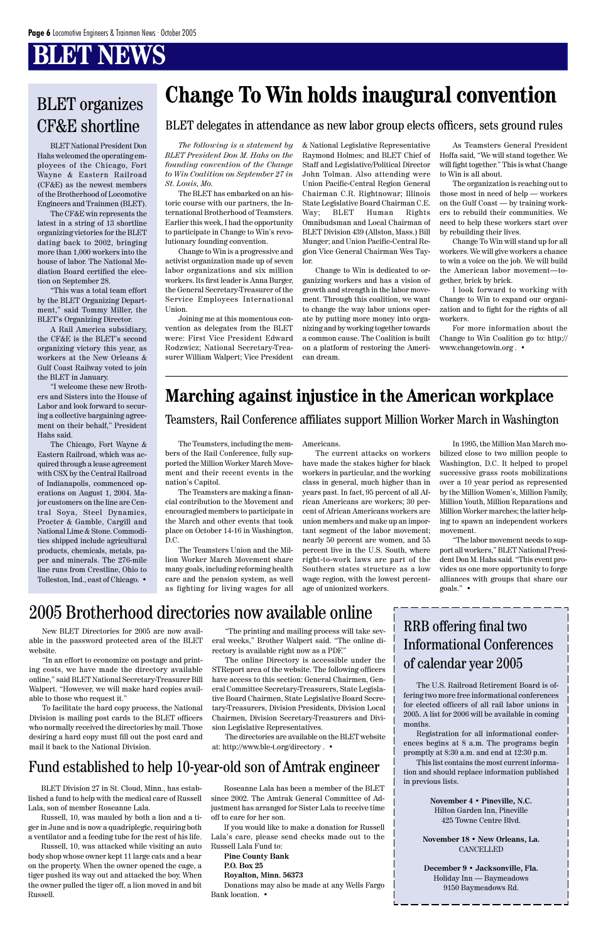BLET National President Don Hahs welcomed the operating employees of the Chicago, Fort Wayne & Eastern Railroad (CF&E) as the newest members of the Brotherhood of Locomotive Engineers and Trainmen (BLET).

The CF&E win represents the latest in a string of 13 shortline organizing victories for the BLET dating back to 2002, bringing more than 1,000 workers into the house of labor. The National Mediation Board certified the election on September 28.

"This was a total team effort by the BLET Organizing Department," said Tommy Miller, the BLET's Organizing Director.

A Rail America subsidiary, the CF&E is the BLET's second organizing victory this year, as workers at the New Orleans & Gulf Coast Railway voted to join the BLET in January.

"I welcome these new Brothers and Sisters into the House of Labor and look forward to securing a collective bargaining agreement on their behalf," President Hahs said.

The Chicago, Fort Wayne & Eastern Railroad, which was acquired through a lease agreement with CSX by the Central Railroad of Indianapolis, commenced operations on August 1, 2004. Major customers on the line are Central Soya, Steel Dynamics, Procter & Gamble, Cargill and National Lime & Stone. Commodities shipped include agricultural products, chemicals, metals, paper and minerals. The 276-mile line runs from Crestline, Ohio to Tolleston, Ind., east of Chicago. •

The Teamsters, including the members of the Rail Conference, fully supported the Million Worker March Movement and their recent events in the nation's Capitol.

The Teamsters are making a financial contribution to the Movement and encouragied members to participate in the March and other events that took place on October 14-16 in Washington, D.C.

The Teamsters Union and the Million Worker March Movement share many goals, including reforming health care and the pension system, as well as fighting for living wages for all

*The following is a statement by BLET President Don M. Hahs on the founding convention of the Change to Win Coalition on September 27 in St. Louis, Mo.*

The BLET has embarked on an historic course with our partners, the International Brotherhood of Teamsters. Earlier this week, I had the opportunity to participate in Change to Win's revolutionary founding convention.

Change to Win is a progressive and activist organization made up of seven labor organizations and six million workers. Its first leader is Anna Burger, the General Secretary-Treasurer of the Service Employees International Union.

Joining me at this momentous convention as delegates from the BLET were: First Vice President Edward Rodzwicz; National Secretary-Treasurer William Walpert; Vice President

& National Legislative Representative Raymond Holmes; and BLET Chief of Staff and Legislative/Political Director John Tolman. Also attending were Union Pacific-Central Region General Chairman C.R. Rightnowar; Illinois State Legislative Board Chairman C.E. Way; BLET Human Rights Omnibudsman and Local Chairman of BLET Division 439 (Allston, Mass.) Bill Munger; and Union Pacific-Central Region Vice General Chairman Wes Taylor.

Change to Win is dedicated to organizing workers and has a vision of growth and strength in the labor movement. Through this coalition, we want to change the way labor unions operate by putting more money into organizing and by working together towards a common cause. The Coalition is built on a platform of restoring the American dream.

As Teamsters General President Hoffa said, "We will stand together. We will fight together." This is what Change to Win is all about.

The organization is reaching out to those most in need of help — workers on the Gulf Coast — by training workers to rebuild their communities. We need to help these workers start over by rebuilding their lives.

Donations may also be made at any Wells Fargo Bank location. •

Change To Win will stand up for all workers. We will give workers a chance to win a voice on the job. We will build the American labor movement—together, brick by brick.

I look forward to working with Change to Win to expand our organization and to fight for the rights of all workers.

For more information about the Change to Win Coalition go to: http:// www.changetowin.org . •

### BLET organizes CF&E shortline

## **Change To Win holds inaugural convention**

Americans.

The current attacks on workers have made the stakes higher for black workers in particular, and the working class in general, much higher than in years past. In fact, 95 percent of all African Americans are workers; 30 percent of African Americans workers are union members and make up an important segment of the labor movement; nearly 50 percent are women, and 55 percent live in the U.S. South, where right-to-work laws are part of the Southern states structure as a low wage region, with the lowest percentage of unionized workers.

In 1995, the Million Man March mobilized close to two million people to Washington, D.C. It helped to propel successive grass roots mobilizations over a 10 year period as represented by the Million Women's, Million Family, Million Youth, Million Reparations and Million Worker marches; the latter helping to spawn an independent workers movement.

"The labor movement needs to support all workers," BLET National President Don M. Hahs said. "This event provides us one more opportunity to forge alliances with groups that share our goals." •

Teamsters, Rail Conference affiliates support Million Worker March in Washington

#### BLET delegates in attendance as new labor group elects officers, sets ground rules

### **Marching against injustice in the American workplace**

New BLET Directories for 2005 are now available in the password protected area of the BLET website.

"In an effort to economize on postage and printing costs, we have made the directory available online," said BLET National Secretary-Treasurer Bill Walpert. "However, we will make hard copies avail-

able to those who request it."

To facilitate the hard copy process, the National Division is mailing post cards to the BLET officers who normally received the directories by mail. Those desiring a hard copy must fill out the post card and mail it back to the National Division.

"The printing and mailing process will take several weeks," Brother Walpert said. "The online directory is available right now as a PDF."

The online Directory is accessible under the STReport area of the website. The following officers have access to this section: General Chairmen, General Committee Secretary-Treasurers, State Legislative Board Chairmen, State Legislative Board Secretary-Treasurers, Division Presidents, Division Local Chairmen, Division Secretary-Treasurers and Division Legislative Representatives. The directories are available on the BLET website at: http://www.ble-t.org/directory . •

### 2005 Brotherhood directories now available online

BLET Division 27 in St. Cloud, Minn., has established a fund to help with the medical care of Russell Lala, son of member Roseanne Lala.

Russell, 10, was mauled by both a lion and a tiger in June and is now a quadriplegic, requiring both a ventilator and a feeding tube for the rest of his life.

Russell, 10, was attacked while visiting an auto body shop whose owner kept 11 large cats and a bear on the property. When the owner opened the cage, a tiger pushed its way out and attacked the boy. When the owner pulled the tiger off, a lion moved in and bit Russell.

### Fund established to help 10-year-old son of Amtrak engineer

Roseanne Lala has been a member of the BLET since 2002. The Amtrak General Committee of Adjustment has arranged for Sister Lala to receive time off to care for her son.

If you would like to make a donation for Russell Lala's care, please send checks made out to the Russell Lala Fund to:

**Pine County Bank P.O. Box 25**

**Royalton, Minn. 56373**

### RRB offering final two Informational Conferences of calendar year 2005

The U.S. Railroad Retirement Board is offering two more free informational conferences for elected officers of all rail labor unions in 2005. A list for 2006 will be available in coming months. Registration for all informational conferences begins at 8 a.m. The programs begin promptly at 8:30 a.m. and end at 12:30 p.m.

This list contains the most current information and should replace information published in previous lists.

> **November 4 • Pineville, N.C.** Hilton Garden Inn, Pineville 425 Towne Centre Blvd.

**November 18 • New Orleans, La.** CANCELLED

**December 9 • Jacksonville, Fla.** Holiday Inn — Baymeadows 9150 Baymeadows Rd.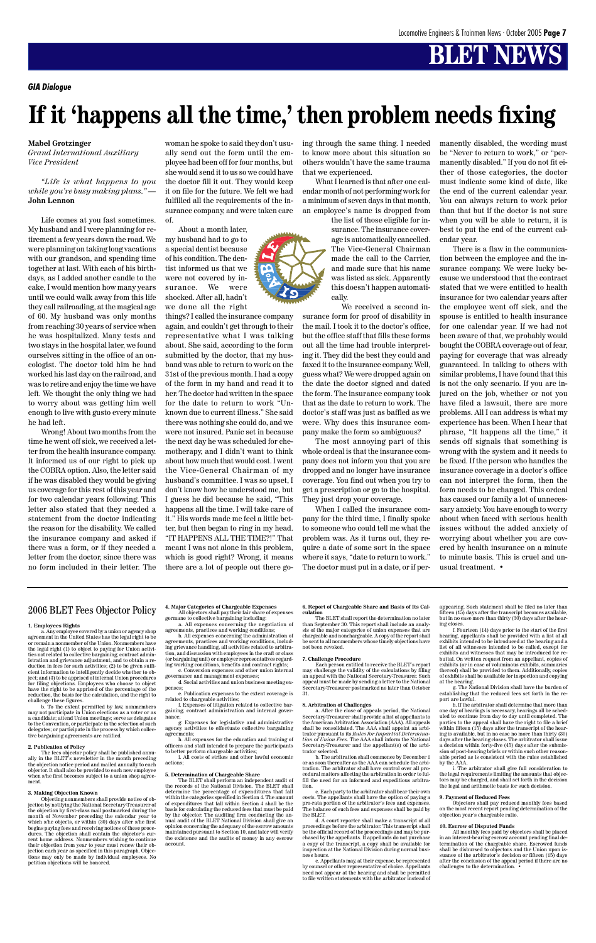#### **Mabel Grotzinger**

*Grand International Auxiliary Vice President*

*"Life is what happens to you while you're busy making plans." —* **John Lennon**

Life comes at you fast sometimes. My husband and I were planning for retirement a few years down the road. We were planning on taking long vacations with our grandson, and spending time together at last. With each of his birthdays, as I added another candle to the cake, I would mention how many years until we could walk away from this life they call railroading, at the magical age of 60. My husband was only months from reaching 30 years of service when he was hospitalized. Many tests and two stays in the hospital later, we found ourselves sitting in the office of an oncologist. The doctor told him he had worked his last day on the railroad, and was to retire and enjoy the time we have left. We thought the only thing we had to worry about was getting him well enough to live with gusto every minute he had left.

Wrong! About two months from the time he went off sick, we received a letter from the health insurance company. It informed us of our right to pick up the COBRA option. Also, the letter said if he was disabled they would be giving us coverage for this rest of this year and for two calendar years following. This letter also stated that they needed a statement from the doctor indicating the reason for the disability. We called the insurance company and asked if there was a form, or if they needed a letter from the doctor, since there was no form included in their letter. The

woman he spoke to said they don't usually send out the form until the employee had been off for four months, but she would send it to us so we could have the doctor fill it out. They would keep it on file for the future. We felt we had fulfilled all the requirements of the insurance company, and were taken care of.

About a month later,

my husband had to go to a special dentist because of his condition. The dentist informed us that we were not covered by insurance. We were shocked. After all, hadn't we done all the right

things? I called the insurance company again, and couldn't get through to their representative what I was talking about. She said, according to the form submitted by the doctor, that my husband was able to return to work on the 31st of the previous month. I had a copy of the form in my hand and read it to her. The doctor had written in the space for the date to return to work "Unknown due to current illness." She said there was nothing she could do, and we were not insured. Panic set in because the next day he was scheduled for chemotherapy, and I didn't want to think about how much that would cost. I went the Vice-General Chairman of my husband's committee. I was so upset, I don't know how he understood me, but I guess he did because he said, "This happens all the time. I will take care of it." His words made me feel a little better, but then began to ring in my head. "IT HAPPENS ALL THE TIME?!" That meant I was not alone in this problem, which is good right? Wrong, it means there are a lot of people out there going through the same thing. I needed to know more about this situation so others wouldn't have the same trauma that we experienced.

What I learned is that after one calendar month of not performing work for a minimum of seven days in that month, an employee's name is dropped from

> the list of those eligible for insurance. The insurance coverage is automatically cancelled. The Vice-General Chairman made the call to the Carrier, and made sure that his name was listed as sick. Apparently this doesn't happen automatically.

We received a second insurance form for proof of disability in the mail. I took it to the doctor's office, but the office staff that fills these forms out all the time had trouble interpreting it. They did the best they could and faxed it to the insurance company. Well, guess what? We were dropped again on the date the doctor signed and dated the form. The insurance company took that as the date to return to work. The doctor's staff was just as baffled as we were. Why does this insurance company make the form so ambiguous?

The most annoying part of this whole ordeal is that the insurance company does not inform you that you are dropped and no longer have insurance coverage. You find out when you try to get a prescription or go to the hospital. They just drop your coverage.

When I called the insurance company for the third time, I finally spoke to someone who could tell me what the problem was. As it turns out, they require a date of some sort in the space where it says, "date to return to work." The doctor must put in a date, or if permanently disabled, the wording must be "Never to return to work," or "permanently disabled." If you do not fit either of those categories, the doctor must indicate some kind of date, like the end of the current calendar year. You can always return to work prior than that but if the doctor is not sure when you will be able to return, it is best to put the end of the current calendar year.

There is a flaw in the communication between the employee and the insurance company. We were lucky because we understood that the contract stated that we were entitled to health insurance for two calendar years after the employee went off sick, and the spouse is entitled to health insurance for one calendar year. If we had not been aware of that, we probably would bought the COBRA coverage out of fear, paying for coverage that was already guaranteed. In talking to others with similar problems, I have found that this is not the only scenario. If you are injured on the job, whether or not you have filed a lawsuit, there are more problems. All I can address is what my experience has been. When I hear that phrase, "It happens all the time," it sends off signals that something is wrong with the system and it needs to be fixed. If the person who handles the insurance coverage in a doctor's office can not interpret the form, then the form needs to be changed. This ordeal has caused our family a lot of unnecessary anxiety. You have enough to worry about when faced with serious health issues without the added anxiety of worrying about whether you are covered by health insurance on a minute to minute basis. This is cruel and unusual treatment. •

*GIA Dialogue*

## **If it 'happens all the time,' then problem needs fixing**

#### 2006 BLET Fees Objector Policy

#### **1. Employees Rights**

tablishing that the redu port are lawful.

a. Any employee covered by a union or agency shop agreement in the United States has the legal right to be or remain a nonmember of the Union. Nonmembers have the legal right (1) to object to paying for Union activities not related to collective bargaining, contract administration and grievance adjustment, and to obtain a reduction in fees for such activities; (2) to be given sufficient information to intelligently decide whether to object; and (3) to be apprised of internal Union procedures for filing objections. Employees who choose to object have the right to be apprised of the percentage of the

reduction, the basis for the calculation, and the right to challenge these figures.

b. To the extent permitted by law, nonmembers may not participate in Union elections as a voter or as a candidate; attend Union meetings; serve as delegates to the Convention, or participate in the selection of such delegates; or participate in the process by which collective bargaining agreements are ratified.

#### **2. Publication of Policy**

The fees objector policy shall be published annu-ally in the BLET's newsletter in the month preceding the objection notice period and mailed annually to each objector. It shall also be provided to each new employee when s/he first becomes subject to a union shop agreement.

#### **3. Making Objection Known**

Objecting nonmembers shall provide notice of objection by notifying the National Secretary-Treasurer of the objection by first-class mail postmarked during the month of November preceding the calendar year to which s/he objects, or within (30) days after s/he first begins paying fees and receiving notices of these procedures. The objection shall contain the objector's current home address. Nonmembers wishing to continue their objection from year to year must renew their ob-jection each year as specified in this paragraph. Objections may only be made by individual employees. No petition objections will be honored.

**4. Major Categories of Chargeable Expenses** All objectors shall pay their fair share of expenses germane to collective bargaining including:

a. All expenses concerning the negotiation of agreements, practices and working conditions;

b. All expenses concerning the administration of agreements, practices and working conditions, including grievance handling, all activities related to arbitration, and discussion with employees in the craft or class (or bargaining unit) or employer representatives regarding working conditions, benefits and contract rights; c. Conversion expenses and other union internal

governance and management expenses; d. Social activities and union business meeting ex-

penses;

e. Publication expenses to the extent coverage is

related to chargeable activities; f. Expenses of litigation related to collective bargaining, contract administration and internal governance;

g. Expenses for legislative and administrative agency activities to effectuate collective bargaining agreements;

h. All expenses for the education and training of officers and staff intended to prepare the participants to better perform chargeable activities;

i. All costs of strikes and other lawful economic actions;

#### **5. Determination of Chargeable Share**

The BLET shall perform an independent audit of the records of the National Division. The BLET shall determine the percentage of expenditures that fall within the categories specified in Section 4. The amount of expenditures that fall within Section 4 shall be the basis for calculating the reduced fees that must be paid by the objector. The auditing firm conducting the an-nual audit of the BLET National Division shall give an opinion concerning the adequacy of the escrow amounts maintained pursuant to Section 10, and later will verify the existence and the audits of money in any escrow account.

#### **6. Report of Chargeable Share and Basis of Its Calculation**

The BLET shall report the determination no later than September 30. This report shall include an analysis of the major categories of union expenses that are chargeable and nonchargeable. A copy of the report shall be sent to all nonmembers whose timely objections have not been revoked.

#### **7. Challenge Procedure**

Each person entitled to receive the BLET's report may challenge the validity of the calculations by filing an appeal with the National Secretary-Treasurer. Such appeal must be made by sending a letter to the National ecretary-Treasurer postmarked no later than October 31.

**8. Arbitration of Challenges**

a. After the close of appeals period, the National Secretary-Treasurer shall provide a list of appellants to the American Arbitration Association (AAA). All appeals shall be consolidated. The AAA shall appoint an arbitrator pursuant to its *Rules for Impartial Determination of Union Fees.* The AAA shall inform the National Secretary-Treasurer and the appellant(s) of the arbi-

trator selected.

b. The arbitration shall commence by December 1 or as soon thereafter as the AAA can schedule the arbitration. The arbitrator shall have control over all pro-cedural matters affecting the arbitration in order to fulfill the need for an informed and expeditious arbitra-

tion.

c. Each party to the arbitrator shall bear their own costs. The appellants shall have the option of paying a pro-rata portion of the arbitrator's fees and expenses. The balance of such fees and expenses shall be paid by

the BLET.

d. A court reporter shall make a transcript of all proceedings before the arbitrator. This transcript shall be the official record of the proceedings and may be purchased by the appellants. If appellants do not purchase a copy of the transcript, a copy shall be available for inspection at the National Division during normal busi-

ness hours.

e. Appellants may, at their expense, be represented by counsel or other representative of choice. Appellants need not appear at the hearing and shall be permitted to file written statements with the arbitrator instead of

appearing. Such statement shall be filed no later than fifteen (15) days after the transcript becomes available, but in no case more than thirty (30) days after the hearing closes.

f. Fourteen (14) days prior to the start of the first hearing, appellants shall be provided with a list of all exhibits intended to be introduced at the hearing and a list of all witnesses intended to be called, except for exhibits and witnesses that may be introduced for rebuttal. On written request from an appellant, copies of exhibits (or in case of voluminous exhibits, summaries thereof) shall be provided to them. Additionally, copies of exhibits shall be available for inspection and copying

at the hearing. g. The National Division shall have the burden of



h. If the arbitrator shall determine that more than one day of hearings is necessary, hearings all be scheduled to continue from day to day until completed. The parties to the appeal shall have the right to file a brief within fifteen (15) days after the transcript of the hearing is available, but in no case no more than thirty (30) days after the hearing closes. The arbitrator shall issue a decision within forty-five (45) days after the submission of post-hearing briefs or within such other reasonable period as is consistent with the rules established by the AAA.

i. The arbitrator shall give full consideration to the legal requirements limiting the amounts that objectors may be charged, and shall set forth in the decision the legal and arithmetic basis for such decision.

#### **9. Payment of Reduced Fees**

Objectors shall pay reduced monthly fees based on the most recent report pending determination of the objection year's chargeable ratio.

#### **10. Escrow of Disputed Funds**

All monthly fees paid by objectors shall be placed in an interest-bearing escrow account pending final determination of the chargeable share. Escrowed funds shall be disbursed to objectors and the Union upon issuance of the arbitrator's decision or fifteen (15) days after the conclusion of the appeal period if there are no challenges to the determination. •